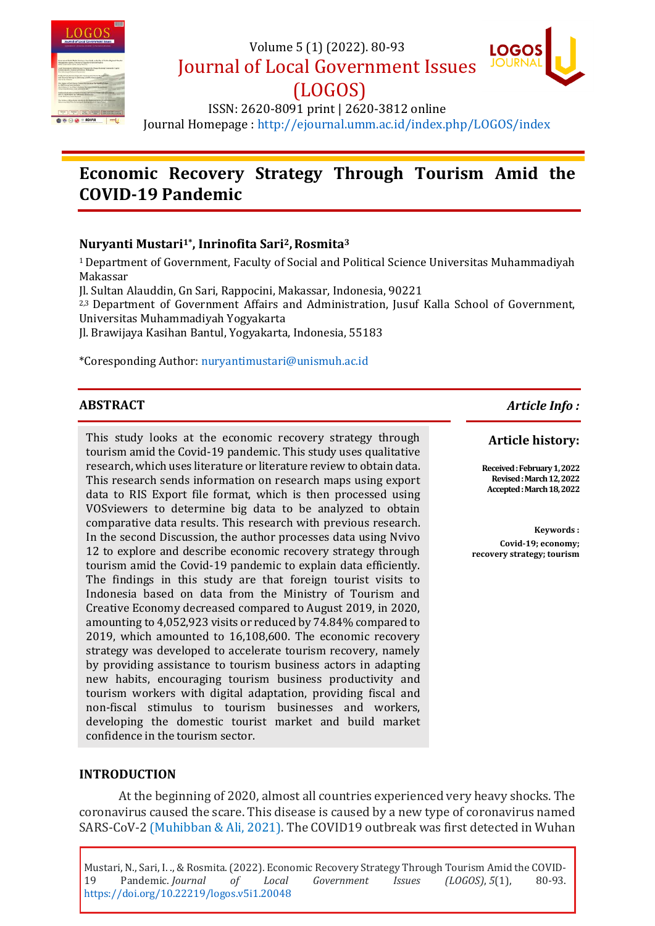

Volume 5 (1) (2022). 80-93

Journal of Local Government Issues



(LOGOS) ISSN: 2620-8091 print | 2620-3812 online Journal Homepage :<http://ejournal.umm.ac.id/index.php/LOGOS/index>

# **Economic Recovery Strategy Through Tourism Amid the COVID-19 Pandemic**

# **Nuryanti Mustari1\* , Inrinofita Sari2,Rosmita<sup>3</sup>**

<sup>1</sup>Department of Government, Faculty of Social and Political Science Universitas Muhammadiyah Makassar

Jl. Sultan Alauddin, Gn Sari, Rappocini, Makassar, Indonesia, 90221

2,3 Department of Government Affairs and Administration, Jusuf Kalla School of Government, Universitas Muhammadiyah Yogyakarta

Jl. Brawijaya Kasihan Bantul, Yogyakarta, Indonesia, 55183

\*Coresponding Author: [nuryantimustari@unismuh.ac.id](mailto:nuryantimustari@unismuh.ac.id)

#### **ABSTRACT**

This study looks at the economic recovery strategy through tourism amid the Covid-19 pandemic. This study uses qualitative research, which uses literature or literature review to obtain data. This research sends information on research maps using export data to RIS Export file format, which is then processed using VOSviewers to determine big data to be analyzed to obtain comparative data results. This research with previous research. In the second Discussion, the author processes data using Nvivo 12 to explore and describe economic recovery strategy through tourism amid the Covid-19 pandemic to explain data efficiently. The findings in this study are that foreign tourist visits to Indonesia based on data from the Ministry of Tourism and Creative Economy decreased compared to August 2019, in 2020, amounting to 4,052,923 visits or reduced by 74.84% compared to 2019, which amounted to 16,108,600. The economic recovery strategy was developed to accelerate tourism recovery, namely by providing assistance to tourism business actors in adapting new habits, encouraging tourism business productivity and tourism workers with digital adaptation, providing fiscal and non-fiscal stimulus to tourism businesses and workers, developing the domestic tourist market and build market confidence in the tourism sector.

*Article Info :*

#### **Article history:**

**Received : February 1, 2022 Revised :March 12, 2022 Accepted : March 18, 2022**

**Keywords : Covid-19; economy; recovery strategy; tourism** 

#### **INTRODUCTION**

At the beginning of 2020, almost all countries experienced very heavy shocks. The coronavirus caused the scare. This disease is caused by a new type of coronavirus named SARS-CoV-2 [\(Muhibban & Ali, 2021\)](#page-12-0). The COVID19 outbreak was first detected in Wuhan

Mustari, N., Sari, I. ., & Rosmita. (2022). Economic Recovery Strategy Through Tourism Amid the COVID-19 Pandemic. *Journal of Local Government Issues (LOGOS)*, *5*(1), 80-93. <https://doi.org/10.22219/logos.v5i1.20048>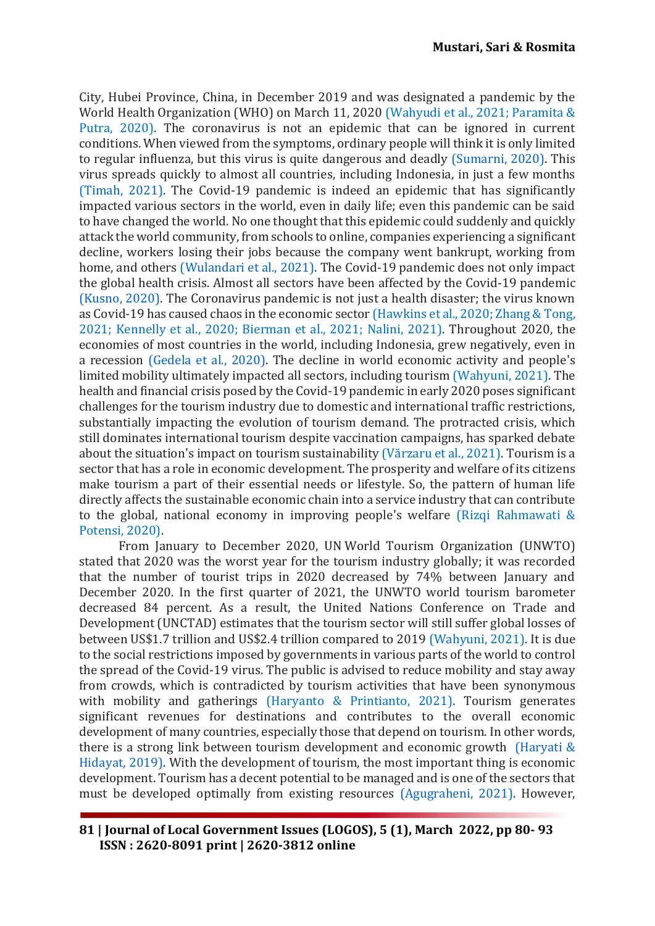City, Hubei Province, China, in December 2019 and was designated a pandemic by the World Health Organization (WHO) on March 11, 2020 [\(Wahyudi et al., 2021;](#page-13-0) [Paramita &](#page-12-1)  Putra, 2020). The coronavirus is not an epidemic that can be ignored in current conditions. When viewed from the symptoms, ordinary people will think it is only limited to regular influenza, but this virus is quite dangerous and deadly [\(Sumarni, 2020\).](#page-12-2) This virus spreads quickly to almost all countries, including Indonesia, in just a few months [\(Timah, 2021\).](#page-13-1) The Covid-19 pandemic is indeed an epidemic that has significantly impacted various sectors in the world, even in daily life; even this pandemic can be said to have changed the world. No one thought that this epidemic could suddenly and quickly attack the world community, from schools to online, companies experiencing a significant decline, workers losing their jobs because the company went bankrupt, working from home, and others [\(Wulandari et al., 2021\).](#page-13-2) The Covid-19 pandemic does not only impact the global health crisis. Almost all sectors have been affected by the Covid-19 pandemic [\(Kusno, 2020\).](#page-12-3) The Coronavirus pandemic is not just a health disaster; the virus known as Covid-19 has caused chaos in the economic sector [\(Hawkins et al., 2020;](#page-11-0) [Zhang & Tong,](#page-13-3)  [2021;](#page-13-3) [Kennelly et al., 2020;](#page-11-1) [Bierman et al., 2021;](#page-10-0) [Nalini, 2021\).](#page-12-4) Throughout 2020, the economies of most countries in the world, including Indonesia, grew negatively, even in a recession [\(Gedela et al., 2020\).](#page-11-2) The decline in world economic activity and people's limited mobility ultimately impacted all sectors, including tourism [\(Wahyuni, 2021\)](#page-13-4). The health and financial crisis posed by the Covid-19 pandemic in early 2020 poses significant challenges for the tourism industry due to domestic and international traffic restrictions, substantially impacting the evolution of tourism demand. The protracted crisis, which still dominates international tourism despite vaccination campaigns, has sparked debate about the situation's impact on tourism sustainability ([Vărzaru et al., 2021](#page-13-5)). Tourism is a sector that has a role in economic development. The prosperity and welfare of its citizens make tourism a part of their essential needs or lifestyle. So, the pattern of human life directly affects the sustainable economic chain into a service industry that can contribute to the global, national economy in improving people's welfare [\(Rizqi Rahmawati &](#page-12-5)  Potensi, 2020).

From January to December 2020, UN World Tourism Organization (UNWTO) stated that 2020 was the worst year for the tourism industry globally; it was recorded that the number of tourist trips in 2020 decreased by 74% between January and December 2020. In the first quarter of 2021, the UNWTO world tourism barometer decreased 84 percent. As a result, the United Nations Conference on Trade and Development (UNCTAD) estimates that the tourism sector will still suffer global losses of between US\$1.7 trillion and US\$2.4 trillion compared to 2019 [\(Wahyuni, 2021\)](#page-13-4). It is due to the social restrictions imposed by governments in various parts of the world to control the spread of the Covid-19 virus. The public is advised to reduce mobility and stay away from crowds, which is contradicted by tourism activities that have been synonymous with mobility and gatherings [\(Haryanto & Printianto, 2021\)](#page-11-3). Tourism generates significant revenues for destinations and contributes to the overall economic development of many countries, especially those that depend on tourism. In other words, there is a strong link between tourism development and economic growth [\(Haryati &](#page-11-4)  Hidayat, 2019). With the development of tourism, the most important thing is economic development. Tourism has a decent potential to be managed and is one of the sectors that must be developed optimally from existing resources [\(Agugraheni, 2021\).](#page-11-5) However,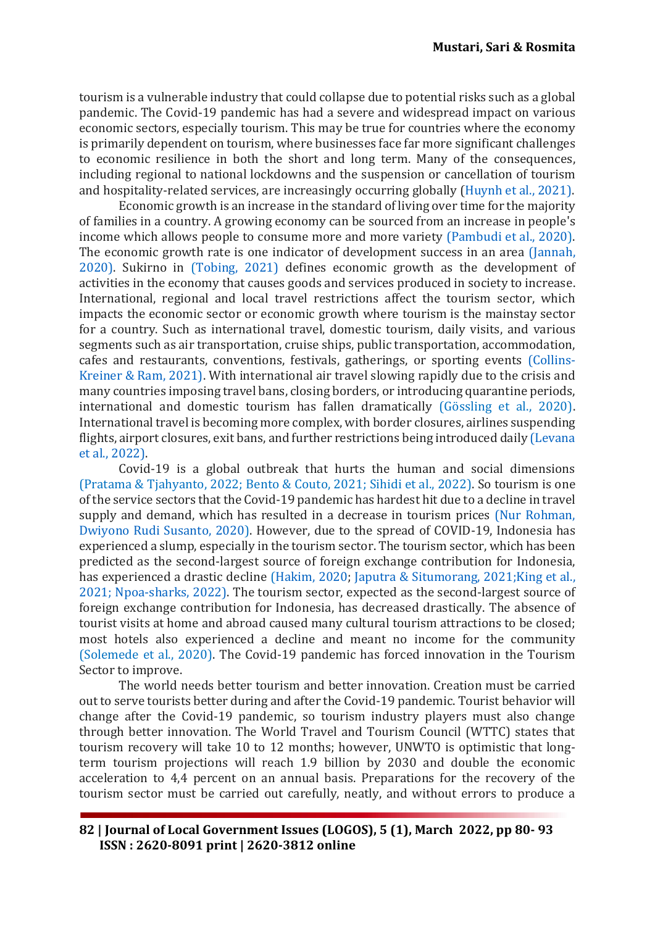tourism is a vulnerable industry that could collapse due to potential risks such as a global pandemic. The Covid-19 pandemic has had a severe and widespread impact on various economic sectors, especially tourism. This may be true for countries where the economy is primarily dependent on tourism, where businesses face far more significant challenges to economic resilience in both the short and long term. Many of the consequences, including regional to national lockdowns and the suspension or cancellation of tourism and hospitality-related services, are increasingly occurring globally [\(Huynh et al., 2021\).](#page-11-6)

Economic growth is an increase in the standard of living over time for the majority of families in a country. A growing economy can be sourced from an increase in people's income which allows people to consume more and more variety [\(Pambudi et al., 2020\)](#page-12-6). The economic growth rate is one indicator of development success in an area [\(Jannah,](#page-11-7)  2020). Sukirno in [\(Tobing, 2021\)](#page-13-6) defines economic growth as the development of activities in the economy that causes goods and services produced in society to increase. International, regional and local travel restrictions affect the tourism sector, which impacts the economic sector or economic growth where tourism is the mainstay sector for a country. Such as international travel, domestic tourism, daily visits, and various segments such as air transportation, cruise ships, public transportation, accommodation, cafes and restaurants, conventions, festivals, gatherings, or sporting events [\(Collins-](#page-10-1)Kreiner & Ram, 2021). With international air travel slowing rapidly due to the crisis and many countries imposing travel bans, closing borders, or introducing quarantine periods, international and domestic tourism has fallen dramatically [\(Gössling et al., 2020\)](#page-11-8). International travel is becoming more complex, with border closures, airlines suspending flights, airport closures, exit bans, and further restrictions being introduced daily [\(Levana](#page-12-7)  et al., 2022).

Covid-19 is a global outbreak that hurts the human and social dimensions [\(Pratama & Tjahyanto, 2022;](#page-12-8) [Bento & Couto, 2021;](#page-10-2) [Sihidi et al., 2022\)](#page-12-9). So tourism is one of the service sectors that the Covid-19 pandemic has hardest hit due to a decline in travel supply and demand, which has resulted in a decrease in tourism prices [\(Nur Rohman,](#page-12-10)  [Dwiyono Rudi Susanto, 2020\)](#page-12-10). However, due to the spread of COVID-19, Indonesia has experienced a slump, especially in the tourism sector. The tourism sector, which has been predicted as the second-largest source of foreign exchange contribution for Indonesia, has experienced a drastic decline [\(Hakim, 2020;](#page-11-9) [Japutra & Situmorang, 2021](#page-11-10)[;King et al.,](#page-11-11)  2021; [Npoa-sharks, 2022\).](#page-12-11) The tourism sector, expected as the second-largest source of foreign exchange contribution for Indonesia, has decreased drastically. The absence of tourist visits at home and abroad caused many cultural tourism attractions to be closed; most hotels also experienced a decline and meant no income for the community [\(Solemede et al., 2020\)](#page-12-12). The Covid-19 pandemic has forced innovation in the Tourism Sector to improve.

The world needs better tourism and better innovation. Creation must be carried out to serve tourists better during and after the Covid-19 pandemic. Tourist behavior will change after the Covid-19 pandemic, so tourism industry players must also change through better innovation. The World Travel and Tourism Council (WTTC) states that tourism recovery will take 10 to 12 months; however, UNWTO is optimistic that longterm tourism projections will reach 1.9 billion by 2030 and double the economic acceleration to 4,4 percent on an annual basis. Preparations for the recovery of the tourism sector must be carried out carefully, neatly, and without errors to produce a

**82 | Journal of Local Government Issues (LOGOS), 5 (1), March 2022, pp 80- 93 ISSN : 2620-8091 print | 2620-3812 online**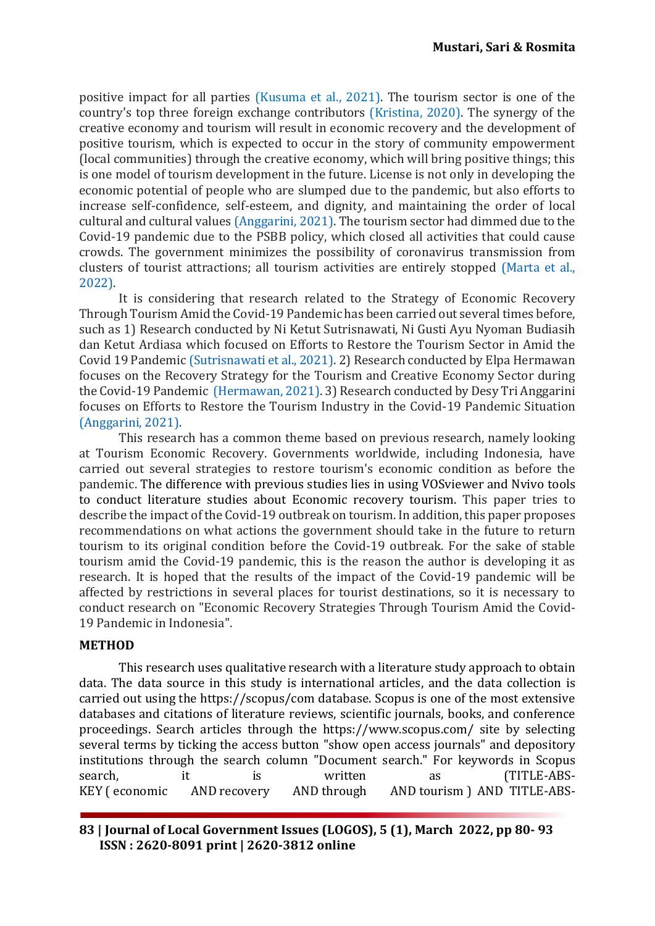positive impact for all parties [\(Kusuma et al., 2021\)](#page-12-13). The tourism sector is one of the country's top three foreign exchange contributors [\(Kristina, 2020\).](#page-11-12) The synergy of the creative economy and tourism will result in economic recovery and the development of positive tourism, which is expected to occur in the story of community empowerment (local communities) through the creative economy, which will bring positive things; this is one model of tourism development in the future. License is not only in developing the economic potential of people who are slumped due to the pandemic, but also efforts to increase self-confidence, self-esteem, and dignity, and maintaining the order of local cultural and cultural values [\(Anggarini, 2021\).](#page-10-3) The tourism sector had dimmed due to the Covid-19 pandemic due to the PSBB policy, which closed all activities that could cause crowds. The government minimizes the possibility of coronavirus transmission from clusters of tourist attractions; all tourism activities are entirely stopped [\(Marta et al.,](#page-12-14)  2022).

It is considering that research related to the Strategy of Economic Recovery Through Tourism Amid the Covid-19 Pandemic has been carried out several times before, such as 1) Research conducted by Ni Ketut Sutrisnawati, Ni Gusti Ayu Nyoman Budiasih dan Ketut Ardiasa which focused on Efforts to Restore the Tourism Sector in Amid the Covid 19 Pandemic [\(Sutrisnawati et al., 2021\).](#page-13-7) 2) Research conducted by Elpa Hermawan focuses on the Recovery Strategy for the Tourism and Creative Economy Sector during the Covid-19 Pandemic [\(Hermawan, 2021\).](#page-11-13) 3) Research conducted by Desy Tri Anggarini focuses on Efforts to Restore the Tourism Industry in the Covid-19 Pandemic Situation [\(Anggarini, 2021\).](#page-10-3)

This research has a common theme based on previous research, namely looking at Tourism Economic Recovery. Governments worldwide, including Indonesia, have carried out several strategies to restore tourism's economic condition as before the pandemic. The difference with previous studies lies in using VOSviewer and Nvivo tools to conduct literature studies about Economic recovery tourism. This paper tries to describe the impact of the Covid-19 outbreak on tourism. In addition, this paper proposes recommendations on what actions the government should take in the future to return tourism to its original condition before the Covid-19 outbreak. For the sake of stable tourism amid the Covid-19 pandemic, this is the reason the author is developing it as research. It is hoped that the results of the impact of the Covid-19 pandemic will be affected by restrictions in several places for tourist destinations, so it is necessary to conduct research on "Economic Recovery Strategies Through Tourism Amid the Covid-19 Pandemic in Indonesia".

#### **METHOD**

This research uses qualitative research with a literature study approach to obtain data. The data source in this study is international articles, and the data collection is carried out using the https://scopus/com database. Scopus is one of the most extensive databases and citations of literature reviews, scientific journals, books, and conference proceedings. Search articles through the https://www.scopus.com/ site by selecting several terms by ticking the access button "show open access journals" and depository institutions through the search column "Document search." For keywords in Scopus search, it is written as (TITLE-ABS-KEY ( economic AND recovery AND through AND tourism ) AND TITLE-ABS-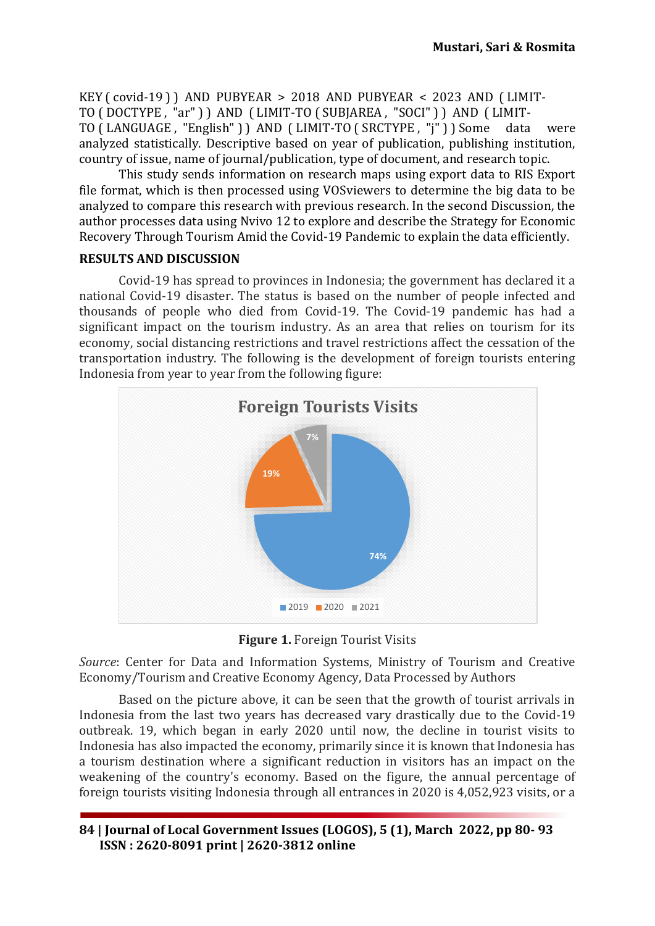KEY ( covid-19 ) ) AND PUBYEAR > 2018 AND PUBYEAR < 2023 AND ( LIMIT-TO ( DOCTYPE , "ar" ) ) AND ( LIMIT-TO ( SUBJAREA , "SOCI" ) ) AND ( LIMIT-TO ( LANGUAGE , "English" ) ) AND ( LIMIT-TO ( SRCTYPE , "j" ) ) Some data were analyzed statistically. Descriptive based on year of publication, publishing institution, country of issue, name of journal/publication, type of document, and research topic.

This study sends information on research maps using export data to RIS Export file format, which is then processed using VOSviewers to determine the big data to be analyzed to compare this research with previous research. In the second Discussion, the author processes data using Nvivo 12 to explore and describe the Strategy for Economic Recovery Through Tourism Amid the Covid-19 Pandemic to explain the data efficiently.

#### **RESULTS AND DISCUSSION**

Covid-19 has spread to provinces in Indonesia; the government has declared it a national Covid-19 disaster. The status is based on the number of people infected and thousands of people who died from Covid-19. The Covid-19 pandemic has had a significant impact on the tourism industry. As an area that relies on tourism for its economy, social distancing restrictions and travel restrictions affect the cessation of the transportation industry. The following is the development of foreign tourists entering Indonesia from year to year from the following figure:



**Figure 1.** Foreign Tourist Visits

*Source*: Center for Data and Information Systems, Ministry of Tourism and Creative Economy/Tourism and Creative Economy Agency, Data Processed by Authors

Based on the picture above, it can be seen that the growth of tourist arrivals in Indonesia from the last two years has decreased vary drastically due to the Covid-19 outbreak. 19, which began in early 2020 until now, the decline in tourist visits to Indonesia has also impacted the economy, primarily since it is known that Indonesia has a tourism destination where a significant reduction in visitors has an impact on the weakening of the country's economy. Based on the figure, the annual percentage of foreign tourists visiting Indonesia through all entrances in 2020 is 4,052,923 visits, or a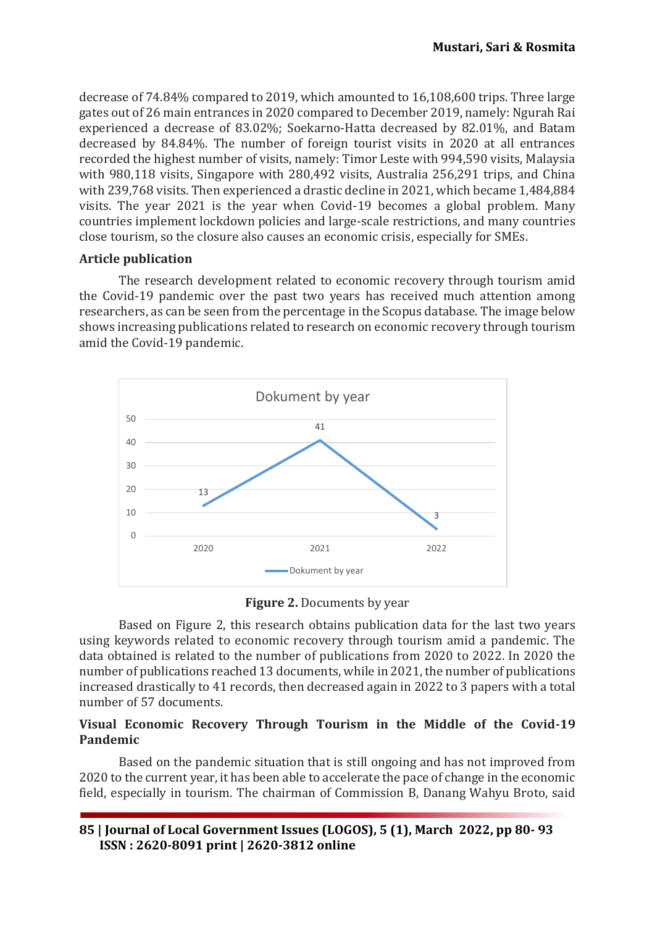decrease of 74.84% compared to 2019, which amounted to 16,108,600 trips. Three large gates out of 26 main entrances in 2020 compared to December 2019, namely: Ngurah Rai experienced a decrease of 83.02%; Soekarno-Hatta decreased by 82.01%, and Batam decreased by 84.84%. The number of foreign tourist visits in 2020 at all entrances recorded the highest number of visits, namely: Timor Leste with 994,590 visits, Malaysia with 980,118 visits, Singapore with 280,492 visits, Australia 256,291 trips, and China with 239,768 visits. Then experienced a drastic decline in 2021, which became 1,484,884 visits. The year 2021 is the year when Covid-19 becomes a global problem. Many countries implement lockdown policies and large-scale restrictions, and many countries close tourism, so the closure also causes an economic crisis, especially for SMEs.

#### **Article publication**

The research development related to economic recovery through tourism amid the Covid-19 pandemic over the past two years has received much attention among researchers, as can be seen from the percentage in the Scopus database. The image below shows increasing publications related to research on economic recovery through tourism amid the Covid-19 pandemic.



**Figure 2.** Documents by year

Based on Figure 2, this research obtains publication data for the last two years using keywords related to economic recovery through tourism amid a pandemic. The data obtained is related to the number of publications from 2020 to 2022. In 2020 the number of publications reached 13 documents, while in 2021, the number of publications increased drastically to 41 records, then decreased again in 2022 to 3 papers with a total number of 57 documents.

# **Visual Economic Recovery Through Tourism in the Middle of the Covid-19 Pandemic**

Based on the pandemic situation that is still ongoing and has not improved from 2020 to the current year, it has been able to accelerate the pace of change in the economic field, especially in tourism. The chairman of Commission B, Danang Wahyu Broto, said

**85 | Journal of Local Government Issues (LOGOS), 5 (1), March 2022, pp 80- 93 ISSN : 2620-8091 print | 2620-3812 online**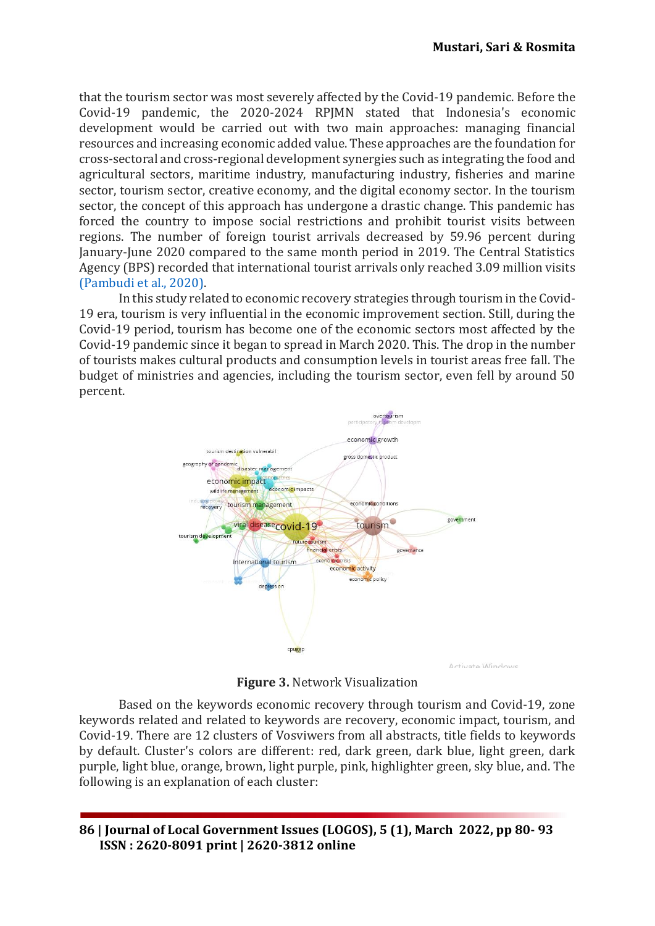that the tourism sector was most severely affected by the Covid-19 pandemic. Before the Covid-19 pandemic, the 2020-2024 RPJMN stated that Indonesia's economic development would be carried out with two main approaches: managing financial resources and increasing economic added value. These approaches are the foundation for cross-sectoral and cross-regional development synergies such as integrating the food and agricultural sectors, maritime industry, manufacturing industry, fisheries and marine sector, tourism sector, creative economy, and the digital economy sector. In the tourism sector, the concept of this approach has undergone a drastic change. This pandemic has forced the country to impose social restrictions and prohibit tourist visits between regions. The number of foreign tourist arrivals decreased by 59.96 percent during January-June 2020 compared to the same month period in 2019. The Central Statistics Agency (BPS) recorded that international tourist arrivals only reached 3.09 million visits [\(Pambudi et al., 2020\).](#page-12-6)

In this study related to economic recovery strategies through tourism in the Covid-19 era, tourism is very influential in the economic improvement section. Still, during the Covid-19 period, tourism has become one of the economic sectors most affected by the Covid-19 pandemic since it began to spread in March 2020. This. The drop in the number of tourists makes cultural products and consumption levels in tourist areas free fall. The budget of ministries and agencies, including the tourism sector, even fell by around 50 percent.



**Figure 3.** Network Visualization

Based on the keywords economic recovery through tourism and Covid-19, zone keywords related and related to keywords are recovery, economic impact, tourism, and Covid-19. There are 12 clusters of Vosviwers from all abstracts, title fields to keywords by default. Cluster's colors are different: red, dark green, dark blue, light green, dark purple, light blue, orange, brown, light purple, pink, highlighter green, sky blue, and. The following is an explanation of each cluster: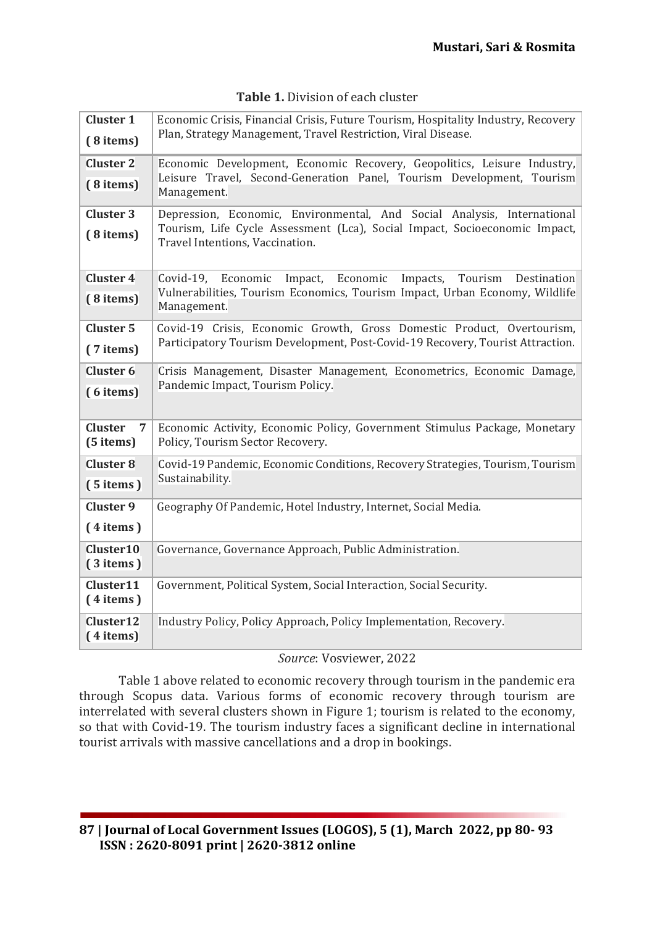| <b>Cluster 1</b>                              | Economic Crisis, Financial Crisis, Future Tourism, Hospitality Industry, Recovery<br>Plan, Strategy Management, Travel Restriction, Viral Disease.                            |
|-----------------------------------------------|-------------------------------------------------------------------------------------------------------------------------------------------------------------------------------|
| (8 items)                                     |                                                                                                                                                                               |
| <b>Cluster 2</b>                              | Economic Development, Economic Recovery, Geopolitics, Leisure Industry,<br>Leisure Travel, Second-Generation Panel, Tourism Development, Tourism<br>Management.               |
| (8 items)                                     |                                                                                                                                                                               |
| <b>Cluster 3</b>                              | Depression, Economic, Environmental, And Social Analysis, International<br>Tourism, Life Cycle Assessment (Lca), Social Impact, Socioeconomic Impact,                         |
| (8 items)                                     | Travel Intentions, Vaccination.                                                                                                                                               |
| <b>Cluster 4</b>                              | Impact, Economic<br>Impacts,<br>Tourism<br>Covid-19,<br>Economic<br>Destination<br>Vulnerabilities, Tourism Economics, Tourism Impact, Urban Economy, Wildlife<br>Management. |
| (8 items)                                     |                                                                                                                                                                               |
| <b>Cluster 5</b>                              | Covid-19 Crisis, Economic Growth, Gross Domestic Product, Overtourism,<br>Participatory Tourism Development, Post-Covid-19 Recovery, Tourist Attraction.                      |
| (7 items)                                     |                                                                                                                                                                               |
| <b>Cluster 6</b>                              | Crisis Management, Disaster Management, Econometrics, Economic Damage,<br>Pandemic Impact, Tourism Policy.                                                                    |
| (6 items)                                     |                                                                                                                                                                               |
| <b>Cluster</b><br>$\overline{7}$<br>(5 items) | Economic Activity, Economic Policy, Government Stimulus Package, Monetary<br>Policy, Tourism Sector Recovery.                                                                 |
| <b>Cluster 8</b>                              | Covid-19 Pandemic, Economic Conditions, Recovery Strategies, Tourism, Tourism<br>Sustainability.                                                                              |
| $(5$ items)                                   |                                                                                                                                                                               |
| <b>Cluster 9</b>                              | Geography Of Pandemic, Hotel Industry, Internet, Social Media.                                                                                                                |
| $(4$ items)                                   |                                                                                                                                                                               |
| Cluster10<br>$(3$ items)                      | Governance, Governance Approach, Public Administration.                                                                                                                       |
| Cluster11<br>$(4$ items)                      | Government, Political System, Social Interaction, Social Security.                                                                                                            |
| Cluster <sub>12</sub><br>$(4$ items)          | Industry Policy, Policy Approach, Policy Implementation, Recovery.                                                                                                            |

# **Table 1.** Division of each cluster

## *Source*: Vosviewer, 2022

Table 1 above related to economic recovery through tourism in the pandemic era through Scopus data. Various forms of economic recovery through tourism are interrelated with several clusters shown in Figure 1; tourism is related to the economy, so that with Covid-19. The tourism industry faces a significant decline in international tourist arrivals with massive cancellations and a drop in bookings.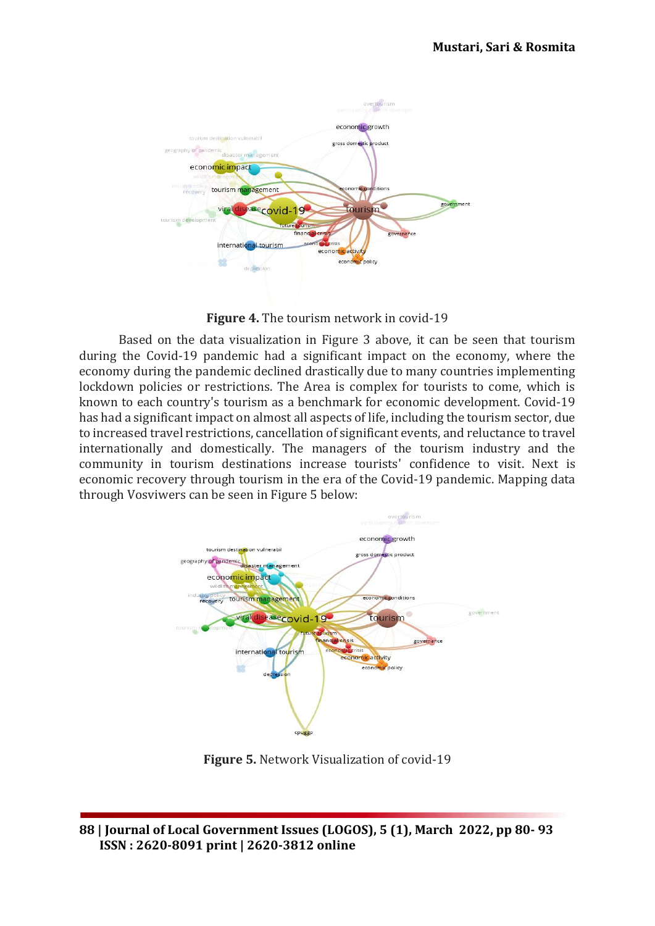

**Figure 4.** The tourism network in covid-19

Based on the data visualization in Figure 3 above, it can be seen that tourism during the Covid-19 pandemic had a significant impact on the economy, where the economy during the pandemic declined drastically due to many countries implementing lockdown policies or restrictions. The Area is complex for tourists to come, which is known to each country's tourism as a benchmark for economic development. Covid-19 has had a significant impact on almost all aspects of life, including the tourism sector, due to increased travel restrictions, cancellation of significant events, and reluctance to travel internationally and domestically. The managers of the tourism industry and the community in tourism destinations increase tourists' confidence to visit. Next is economic recovery through tourism in the era of the Covid-19 pandemic. Mapping data through Vosviwers can be seen in Figure 5 below:



**Figure 5.** Network Visualization of covid-19

**<sup>88</sup> | Journal of Local Government Issues (LOGOS), 5 (1), March 2022, pp 80- 93 ISSN : 2620-8091 print | 2620-3812 online**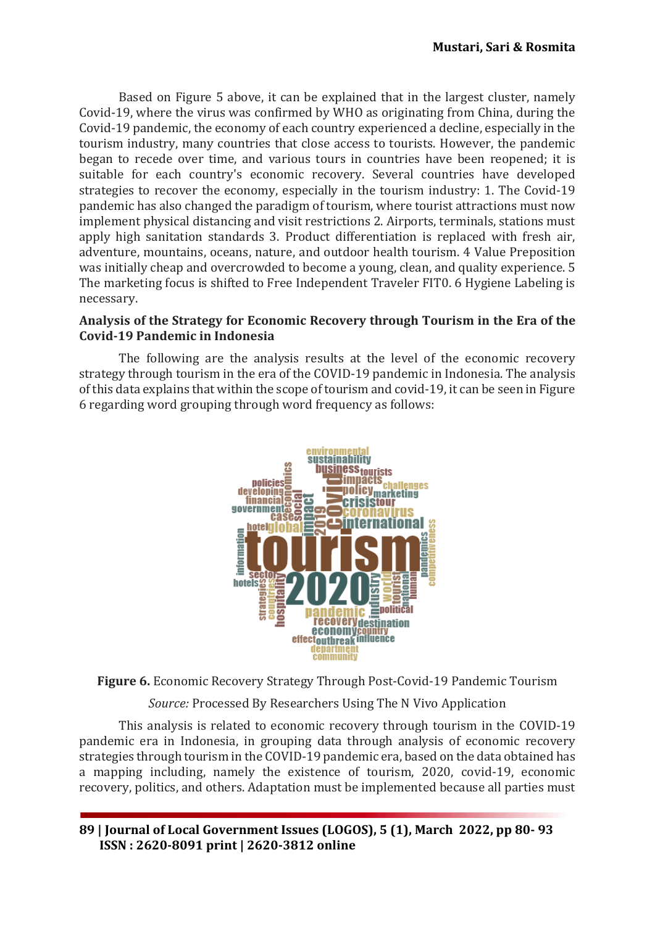Based on Figure 5 above, it can be explained that in the largest cluster, namely Covid-19, where the virus was confirmed by WHO as originating from China, during the Covid-19 pandemic, the economy of each country experienced a decline, especially in the tourism industry, many countries that close access to tourists. However, the pandemic began to recede over time, and various tours in countries have been reopened; it is suitable for each country's economic recovery. Several countries have developed strategies to recover the economy, especially in the tourism industry: 1. The Covid-19 pandemic has also changed the paradigm of tourism, where tourist attractions must now implement physical distancing and visit restrictions 2. Airports, terminals, stations must apply high sanitation standards 3. Product differentiation is replaced with fresh air, adventure, mountains, oceans, nature, and outdoor health tourism. 4 Value Preposition was initially cheap and overcrowded to become a young, clean, and quality experience. 5 The marketing focus is shifted to Free Independent Traveler FIT0. 6 Hygiene Labeling is necessary.

### **Analysis of the Strategy for Economic Recovery through Tourism in the Era of the Covid-19 Pandemic in Indonesia**

The following are the analysis results at the level of the economic recovery strategy through tourism in the era of the COVID-19 pandemic in Indonesia. The analysis of this data explains that within the scope of tourism and covid-19, it can be seen in Figure 6 regarding word grouping through word frequency as follows:



**Figure 6.** Economic Recovery Strategy Through Post-Covid-19 Pandemic Tourism

*Source:* Processed By Researchers Using The N Vivo Application

This analysis is related to economic recovery through tourism in the COVID-19 pandemic era in Indonesia, in grouping data through analysis of economic recovery strategies through tourism in the COVID-19 pandemic era, based on the data obtained has a mapping including, namely the existence of tourism, 2020, covid-19, economic recovery, politics, and others. Adaptation must be implemented because all parties must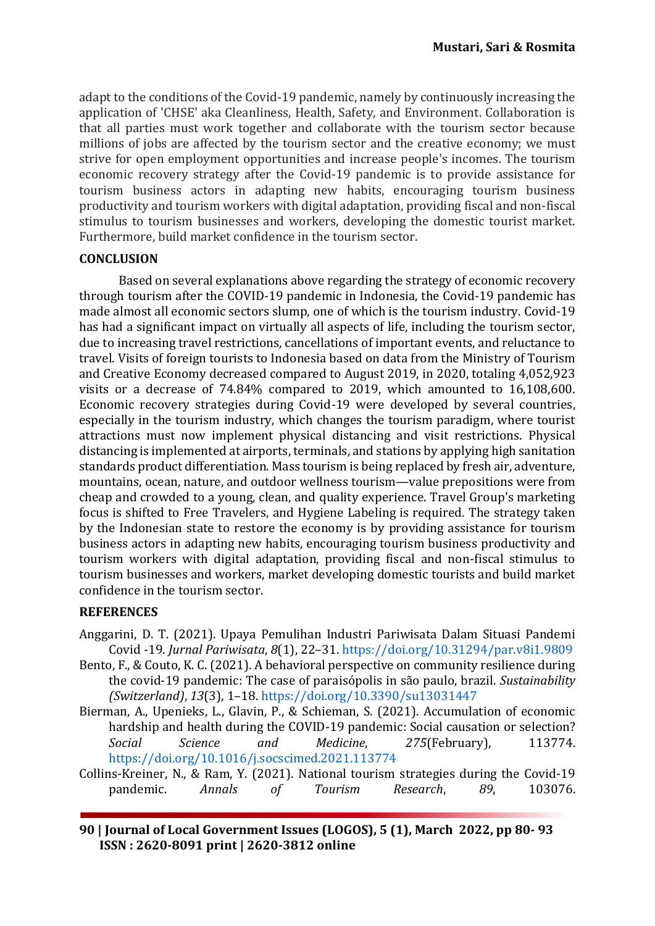adapt to the conditions of the Covid-19 pandemic, namely by continuously increasing the application of 'CHSE' aka Cleanliness, Health, Safety, and Environment. Collaboration is that all parties must work together and collaborate with the tourism sector because millions of jobs are affected by the tourism sector and the creative economy; we must strive for open employment opportunities and increase people's incomes. The tourism economic recovery strategy after the Covid-19 pandemic is to provide assistance for tourism business actors in adapting new habits, encouraging tourism business productivity and tourism workers with digital adaptation, providing fiscal and non-fiscal stimulus to tourism businesses and workers, developing the domestic tourist market. Furthermore, build market confidence in the tourism sector.

### **CONCLUSION**

Based on several explanations above regarding the strategy of economic recovery through tourism after the COVID-19 pandemic in Indonesia, the Covid-19 pandemic has made almost all economic sectors slump, one of which is the tourism industry. Covid-19 has had a significant impact on virtually all aspects of life, including the tourism sector, due to increasing travel restrictions, cancellations of important events, and reluctance to travel. Visits of foreign tourists to Indonesia based on data from the Ministry of Tourism and Creative Economy decreased compared to August 2019, in 2020, totaling 4,052,923 visits or a decrease of 74.84% compared to 2019, which amounted to 16,108,600. Economic recovery strategies during Covid-19 were developed by several countries, especially in the tourism industry, which changes the tourism paradigm, where tourist attractions must now implement physical distancing and visit restrictions. Physical distancing is implemented at airports, terminals, and stations by applying high sanitation standards product differentiation. Mass tourism is being replaced by fresh air, adventure, mountains, ocean, nature, and outdoor wellness tourism—value prepositions were from cheap and crowded to a young, clean, and quality experience. Travel Group's marketing focus is shifted to Free Travelers, and Hygiene Labeling is required. The strategy taken by the Indonesian state to restore the economy is by providing assistance for tourism business actors in adapting new habits, encouraging tourism business productivity and tourism workers with digital adaptation, providing fiscal and non-fiscal stimulus to tourism businesses and workers, market developing domestic tourists and build market confidence in the tourism sector.

## **REFERENCES**

- <span id="page-10-3"></span>Anggarini, D. T. (2021). Upaya Pemulihan Industri Pariwisata Dalam Situasi Pandemi Covid -19. *Jurnal Pariwisata*, *8*(1), 22–31.<https://doi.org/10.31294/par.v8i1.9809>
- <span id="page-10-2"></span>Bento, F., & Couto, K. C. (2021). A behavioral perspective on community resilience during the covid-19 pandemic: The case of paraisópolis in são paulo, brazil. *Sustainability (Switzerland)*, *13*(3), 1–18.<https://doi.org/10.3390/su13031447>
- <span id="page-10-0"></span>Bierman, A., Upenieks, L., Glavin, P., & Schieman, S. (2021). Accumulation of economic hardship and health during the COVID-19 pandemic: Social causation or selection? *Social Science and Medicine*, *275*(February), 113774. <https://doi.org/10.1016/j.socscimed.2021.113774>
- <span id="page-10-1"></span>Collins-Kreiner, N., & Ram, Y. (2021). National tourism strategies during the Covid-19 pandemic. *Annals of Tourism Research*, *89*, 103076.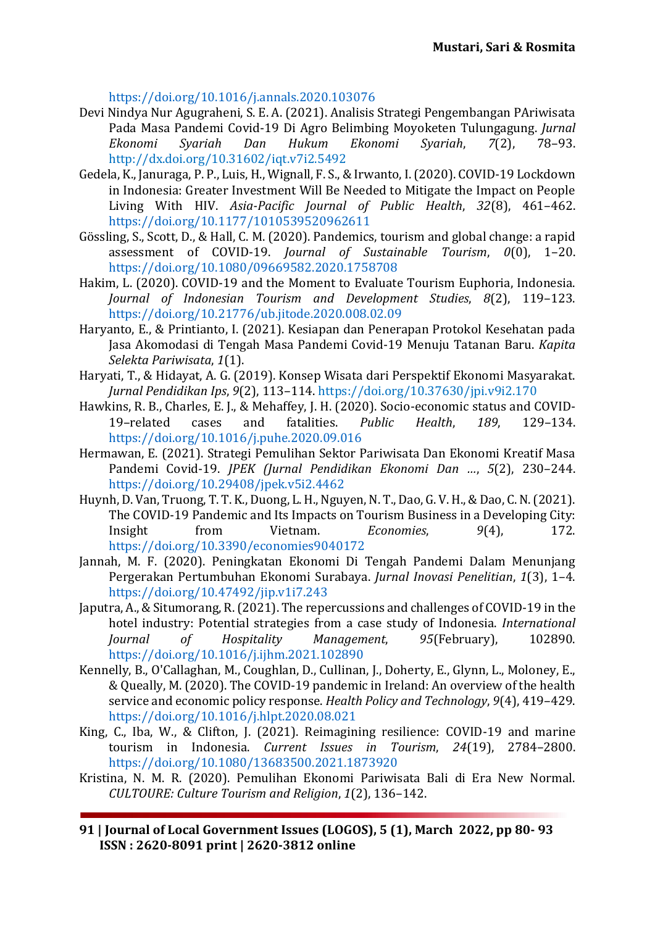<span id="page-11-5"></span><https://doi.org/10.1016/j.annals.2020.103076>

- Devi Nindya Nur Agugraheni, S. E. A. (2021). Analisis Strategi Pengembangan PAriwisata Pada Masa Pandemi Covid-19 Di Agro Belimbing Moyoketen Tulungagung. *Jurnal Ekonomi Syariah Dan Hukum Ekonomi Syariah*, *7*(2), 78–93. <http://dx.doi.org/10.31602/iqt.v7i2.5492>
- <span id="page-11-2"></span>Gedela, K., Januraga, P. P., Luis, H., Wignall, F. S., & Irwanto, I. (2020). COVID-19 Lockdown in Indonesia: Greater Investment Will Be Needed to Mitigate the Impact on People Living With HIV. *Asia-Pacific Journal of Public Health*, *32*(8), 461–462. <https://doi.org/10.1177/1010539520962611>
- <span id="page-11-8"></span>Gössling, S., Scott, D., & Hall, C. M. (2020). Pandemics, tourism and global change: a rapid assessment of COVID-19. *Journal of Sustainable Tourism*, *0*(0), 1–20. <https://doi.org/10.1080/09669582.2020.1758708>
- <span id="page-11-9"></span>Hakim, L. (2020). COVID-19 and the Moment to Evaluate Tourism Euphoria, Indonesia. *Journal of Indonesian Tourism and Development Studies*, *8*(2), 119–123. <https://doi.org/10.21776/ub.jitode.2020.008.02.09>
- <span id="page-11-3"></span>Haryanto, E., & Printianto, I. (2021). Kesiapan dan Penerapan Protokol Kesehatan pada Jasa Akomodasi di Tengah Masa Pandemi Covid-19 Menuju Tatanan Baru. *Kapita Selekta Pariwisata*, *1*(1).
- <span id="page-11-4"></span>Haryati, T., & Hidayat, A. G. (2019). Konsep Wisata dari Perspektif Ekonomi Masyarakat. *Jurnal Pendidikan Ips*, *9*(2), 113–114. <https://doi.org/10.37630/jpi.v9i2.170>
- <span id="page-11-0"></span>Hawkins, R. B., Charles, E. J., & Mehaffey, J. H. (2020). Socio-economic status and COVID-19–related cases and fatalities. *Public Health*, *189*, 129–134. <https://doi.org/10.1016/j.puhe.2020.09.016>
- <span id="page-11-13"></span>Hermawan, E. (2021). Strategi Pemulihan Sektor Pariwisata Dan Ekonomi Kreatif Masa Pandemi Covid-19. *JPEK (Jurnal Pendidikan Ekonomi Dan …*, *5*(2), 230–244. <https://doi.org/10.29408/jpek.v5i2.4462>
- <span id="page-11-6"></span>Huynh, D. Van, Truong, T. T. K., Duong, L. H., Nguyen, N. T., Dao, G. V. H., & Dao, C. N. (2021). The COVID-19 Pandemic and Its Impacts on Tourism Business in a Developing City: Insight from Vietnam. *Economies*, *9*(4), 172. <https://doi.org/10.3390/economies9040172>
- <span id="page-11-7"></span>Jannah, M. F. (2020). Peningkatan Ekonomi Di Tengah Pandemi Dalam Menunjang Pergerakan Pertumbuhan Ekonomi Surabaya. *Jurnal Inovasi Penelitian*, *1*(3), 1–4. <https://doi.org/10.47492/jip.v1i7.243>
- <span id="page-11-10"></span>Japutra, A., & Situmorang, R. (2021). The repercussions and challenges of COVID-19 in the hotel industry: Potential strategies from a case study of Indonesia. *International Journal of Hospitality Management*, *95*(February), 102890. <https://doi.org/10.1016/j.ijhm.2021.102890>
- <span id="page-11-1"></span>Kennelly, B., O'Callaghan, M., Coughlan, D., Cullinan, J., Doherty, E., Glynn, L., Moloney, E., & Queally, M. (2020). The COVID-19 pandemic in Ireland: An overview of the health service and economic policy response. *Health Policy and Technology*, *9*(4), 419–429. <https://doi.org/10.1016/j.hlpt.2020.08.021>
- <span id="page-11-11"></span>King, C., Iba, W., & Clifton, J. (2021). Reimagining resilience: COVID-19 and marine tourism in Indonesia. *Current Issues in Tourism*, *24*(19), 2784–2800. <https://doi.org/10.1080/13683500.2021.1873920>
- <span id="page-11-12"></span>Kristina, N. M. R. (2020). Pemulihan Ekonomi Pariwisata Bali di Era New Normal. *CULTOURE: Culture Tourism and Religion*, *1*(2), 136–142.

**91 | Journal of Local Government Issues (LOGOS), 5 (1), March 2022, pp 80- 93 ISSN : 2620-8091 print | 2620-3812 online**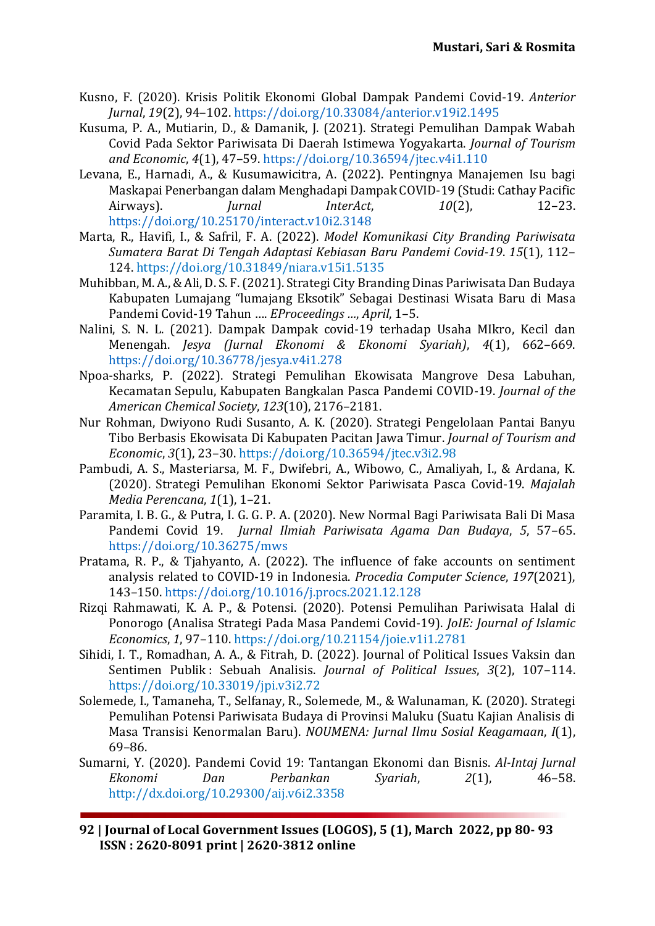- <span id="page-12-3"></span>Kusno, F. (2020). Krisis Politik Ekonomi Global Dampak Pandemi Covid-19. *Anterior Jurnal*, *19*(2), 94–102.<https://doi.org/10.33084/anterior.v19i2.1495>
- <span id="page-12-13"></span>Kusuma, P. A., Mutiarin, D., & Damanik, J. (2021). Strategi Pemulihan Dampak Wabah Covid Pada Sektor Pariwisata Di Daerah Istimewa Yogyakarta. *Journal of Tourism and Economic*, *4*(1), 47–59.<https://doi.org/10.36594/jtec.v4i1.110>
- <span id="page-12-7"></span>Levana, E., Harnadi, A., & Kusumawicitra, A. (2022). Pentingnya Manajemen Isu bagi Maskapai Penerbangan dalam Menghadapi Dampak COVID-19 (Studi: Cathay Pacific Airways). *Jurnal InterAct*, *10*(2), 12–23. <https://doi.org/10.25170/interact.v10i2.3148>
- <span id="page-12-14"></span>Marta, R., Havifi, I., & Safril, F. A. (2022). *Model Komunikasi City Branding Pariwisata Sumatera Barat Di Tengah Adaptasi Kebiasan Baru Pandemi Covid-19*. *15*(1), 112– 124. <https://doi.org/10.31849/niara.v15i1.5135>
- <span id="page-12-0"></span>Muhibban, M. A., & Ali, D. S. F. (2021). Strategi City Branding Dinas Pariwisata Dan Budaya Kabupaten Lumajang "lumajang Eksotik" Sebagai Destinasi Wisata Baru di Masa Pandemi Covid-19 Tahun …. *EProceedings …*, *April*, 1–5.
- <span id="page-12-4"></span>Nalini, S. N. L. (2021). Dampak Dampak covid-19 terhadap Usaha MIkro, Kecil dan Menengah. *Jesya (Jurnal Ekonomi & Ekonomi Syariah)*, *4*(1), 662–669. <https://doi.org/10.36778/jesya.v4i1.278>
- <span id="page-12-11"></span>Npoa-sharks, P. (2022). Strategi Pemulihan Ekowisata Mangrove Desa Labuhan, Kecamatan Sepulu, Kabupaten Bangkalan Pasca Pandemi COVID-19. *Journal of the American Chemical Society*, *123*(10), 2176–2181.
- <span id="page-12-10"></span>Nur Rohman, Dwiyono Rudi Susanto, A. K. (2020). Strategi Pengelolaan Pantai Banyu Tibo Berbasis Ekowisata Di Kabupaten Pacitan Jawa Timur. *Journal of Tourism and Economic*, *3*(1), 23–30. <https://doi.org/10.36594/jtec.v3i2.98>
- <span id="page-12-6"></span>Pambudi, A. S., Masteriarsa, M. F., Dwifebri, A., Wibowo, C., Amaliyah, I., & Ardana, K. (2020). Strategi Pemulihan Ekonomi Sektor Pariwisata Pasca Covid-19. *Majalah Media Perencana*, *1*(1), 1–21.
- <span id="page-12-8"></span><span id="page-12-1"></span>Paramita, I. B. G., & Putra, I. G. G. P. A. (2020). New Normal Bagi Pariwisata Bali Di Masa Pandemi Covid 19. *Jurnal Ilmiah Pariwisata Agama Dan Budaya*, *5*, 57–65. <https://doi.org/10.36275/mws>
- Pratama, R. P., & Tjahyanto, A. (2022). The influence of fake accounts on sentiment analysis related to COVID-19 in Indonesia. *Procedia Computer Science*, *197*(2021), 143–150.<https://doi.org/10.1016/j.procs.2021.12.128>
- <span id="page-12-5"></span>Rizqi Rahmawati, K. A. P., & Potensi. (2020). Potensi Pemulihan Pariwisata Halal di Ponorogo (Analisa Strategi Pada Masa Pandemi Covid-19). *JoIE: Journal of Islamic Economics*, *1*, 97–110. <https://doi.org/10.21154/joie.v1i1.2781>
- <span id="page-12-9"></span>Sihidi, I. T., Romadhan, A. A., & Fitrah, D. (2022). Journal of Political Issues Vaksin dan Sentimen Publik : Sebuah Analisis. *Journal of Political Issues*, *3*(2), 107–114. <https://doi.org/10.33019/jpi.v3i2.72>
- <span id="page-12-12"></span>Solemede, I., Tamaneha, T., Selfanay, R., Solemede, M., & Walunaman, K. (2020). Strategi Pemulihan Potensi Pariwisata Budaya di Provinsi Maluku (Suatu Kajian Analisis di Masa Transisi Kenormalan Baru). *NOUMENA: Jurnal Ilmu Sosial Keagamaan*, *I*(1), 69–86.
- <span id="page-12-2"></span>Sumarni, Y. (2020). Pandemi Covid 19: Tantangan Ekonomi dan Bisnis. *Al-Intaj Jurnal Ekonomi Dan Perbankan Syariah*, *2*(1), 46–58. <http://dx.doi.org/10.29300/aij.v6i2.3358>
- **92 | Journal of Local Government Issues (LOGOS), 5 (1), March 2022, pp 80- 93 ISSN : 2620-8091 print | 2620-3812 online**